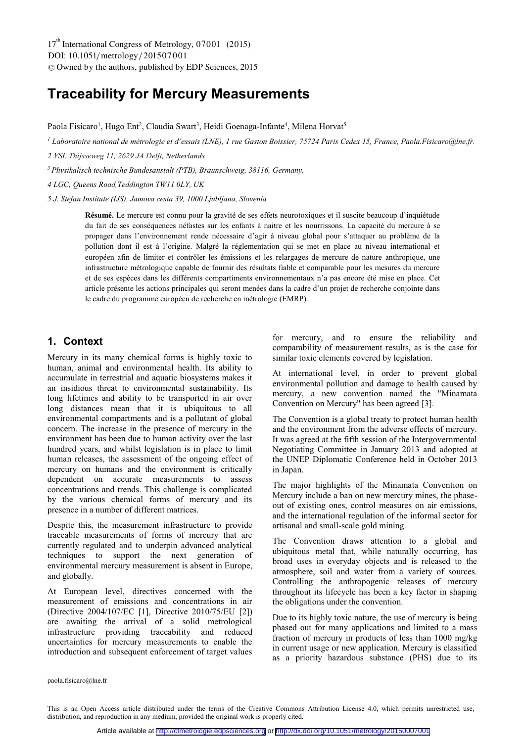DOI: 10.1051/metrology/201507001 -<sup>C</sup> Owned by the authors, published by EDP Sciences, 2015 17<sup>th</sup> International Congress of Metrology, 07001 (2015)

# **Traceability for Mercury Measurements**

Paola Fisicaro<sup>1</sup>, Hugo Ent<sup>2</sup>, Claudia Swart<sup>3</sup>, Heidi Goenaga-Infante<sup>4</sup>, Milena Horvat<sup>5</sup>

*<sup>1</sup> Laboratoire national de métrologie et d'essais (LNE), 1 rue Gaston Boissier, 75724 Paris Cedex 15, France, Paola.Fisicaro@lne.fr.* 

*2 VSL Thijsseweg 11, 2629 JA Delft, Netherlands* 

*3 Physikalisch technische Bundesanstalt (PTB), Braunschweig, 38116, Germany.* 

*4 LGC, Queens Road,Teddington TW11 0LY, UK* 

*5 J. Stefan Institute (IJS), Jamova cesta 39, 1000 Ljubljana, Slovenia* 

**Résumé.** Le mercure est connu pour la gravité de ses effets neurotoxiques et il suscite beaucoup d'inquiétude du fait de ses conséquences néfastes sur les enfants à naitre et les nourrissons. La capacité du mercure à se propager dans l'environnement rende nécessaire d'agir à niveau global pour s'attaquer au problème de la pollution dont il est à l'origine. Malgré la réglementation qui se met en place au niveau international et européen afin de limiter et contrôler les émissions et les relargages de mercure de nature anthropique, une infrastructure métrologique capable de fournir des résultats fiable et comparable pour les mesures du mercure et de ses espèces dans les différents compartiments environnementaux n'a pas encore été mise en place. Cet article présente les actions principales qui seront menées dans la cadre d'un projet de recherche conjointe dans le cadre du programme européen de recherche en métrologie (EMRP).

#### **1. Context**

Mercury in its many chemical forms is highly toxic to human, animal and environmental health. Its ability to accumulate in terrestrial and aquatic biosystems makes it an insidious threat to environmental sustainability. Its long lifetimes and ability to be transported in air over long distances mean that it is ubiquitous to all environmental compartments and is a pollutant of global concern. The increase in the presence of mercury in the environment has been due to human activity over the last hundred years, and whilst legislation is in place to limit human releases, the assessment of the ongoing effect of mercury on humans and the environment is critically dependent on accurate measurements to assess concentrations and trends. This challenge is complicated by the various chemical forms of mercury and its presence in a number of different matrices.

Despite this, the measurement infrastructure to provide traceable measurements of forms of mercury that are currently regulated and to underpin advanced analytical techniques to support the next generation of environmental mercury measurement is absent in Europe, and globally.

At European level, directives concerned with the measurement of emissions and concentrations in air (Directive 2004/107/EC [1], Directive 2010/75/EU [2]) are awaiting the arrival of a solid metrological infrastructure providing traceability and reduced uncertainties for mercury measurements to enable the introduction and subsequent enforcement of target values

for mercury, and to ensure the reliability and comparability of measurement results, as is the case for similar toxic elements covered by legislation.

At international level, in order to prevent global environmental pollution and damage to health caused by mercury, a new convention named the "Minamata Convention on Mercury" has been agreed [3].

The Convention is a global treaty to protect human health and the environment from the adverse effects of mercury. It was agreed at the fifth session of the Intergovernmental Negotiating Committee in January 2013 and adopted at the UNEP Diplomatic Conference held in October 2013 in Japan.

The major highlights of the Minamata Convention on Mercury include a ban on new mercury mines, the phaseout of existing ones, control measures on air emissions, and the international regulation of the informal sector for artisanal and small-scale gold mining.

The Convention draws attention to a global and ubiquitous metal that, while naturally occurring, has broad uses in everyday objects and is released to the atmosphere, soil and water from a variety of sources. Controlling the anthropogenic releases of mercury throughout its lifecycle has been a key factor in shaping the obligations under the convention.

Due to its highly toxic nature, the use of mercury is being phased out for many applications and limited to a mass fraction of mercury in products of less than 1000 mg/kg in current usage or new application. Mercury is classified as a priority hazardous substance (PHS) due to its

paola.fisicaro@lne.fr

This is an Open Access article distributed under the terms of the Creative Commons Attribution License 4.0, which permits unrestricted use, distribution, and reproduction in any medium, provided the original work is properly cited.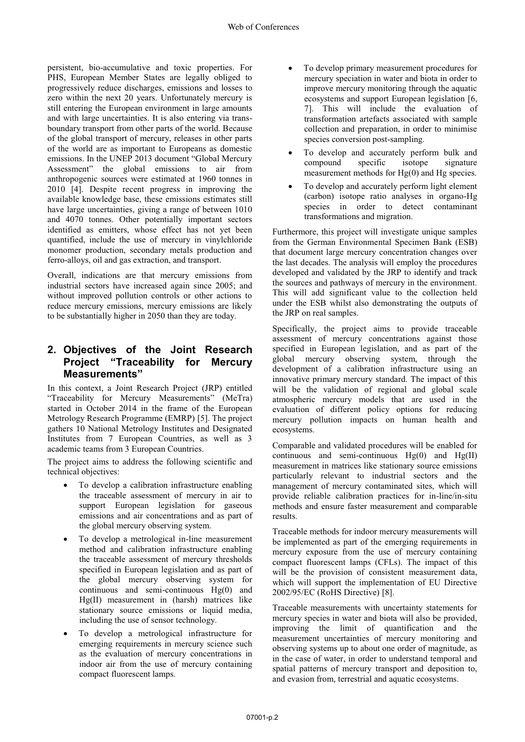persistent, bio-accumulative and toxic properties. For PHS, European Member States are legally obliged to progressively reduce discharges, emissions and losses to zero within the next 20 years. Unfortunately mercury is still entering the European environment in large amounts and with large uncertainties. It is also entering via transboundary transport from other parts of the world. Because of the global transport of mercury, releases in other parts of the world are as important to Europeans as domestic emissions. In the UNEP 2013 document "Global Mercury Assessment" the global emissions to air from anthropogenic sources were estimated at 1960 tonnes in 2010 [4]. Despite recent progress in improving the available knowledge base, these emissions estimates still have large uncertainties, giving a range of between 1010 and 4070 tonnes. Other potentially important sectors identified as emitters, whose effect has not yet been quantified, include the use of mercury in vinylchloride monomer production, secondary metals production and ferro-alloys, oil and gas extraction, and transport.

Overall, indications are that mercury emissions from industrial sectors have increased again since 2005; and without improved pollution controls or other actions to reduce mercury emissions, mercury emissions are likely to be substantially higher in 2050 than they are today.

### **2. Objectives of the Joint Research Project "Traceability for Mercury Measurements"**

In this context, a Joint Research Project (JRP) entitled "Traceability for Mercury Measurements" (MeTra) started in October 2014 in the frame of the European Metrology Research Programme (EMRP) [5]. The project gathers 10 National Metrology Institutes and Designated Institutes from 7 European Countries, as well as 3 academic teams from 3 European Countries.

The project aims to address the following scientific and technical objectives:

- - To develop a calibration infrastructure enabling the traceable assessment of mercury in air to support European legislation for gaseous emissions and air concentrations and as part of the global mercury observing system.
- - To develop a metrological in-line measurement method and calibration infrastructure enabling the traceable assessment of mercury thresholds specified in European legislation and as part of the global mercury observing system for continuous and semi-continuous Hg(0) and Hg(II) measurement in (harsh) matrices like stationary source emissions or liquid media, including the use of sensor technology.
- - To develop a metrological infrastructure for emerging requirements in mercury science such as the evaluation of mercury concentrations in indoor air from the use of mercury containing compact fluorescent lamps.
- - To develop primary measurement procedures for mercury speciation in water and biota in order to improve mercury monitoring through the aquatic ecosystems and support European legislation [6, 7]. This will include the evaluation of transformation artefacts associated with sample collection and preparation, in order to minimise species conversion post-sampling.
- - To develop and accurately perform bulk and compound specific isotope signature measurement methods for Hg(0) and Hg species.
- - To develop and accurately perform light element (carbon) isotope ratio analyses in organo-Hg species in order to detect contaminant transformations and migration.

Furthermore, this project will investigate unique samples from the German Environmental Specimen Bank (ESB) that document large mercury concentration changes over the last decades. The analysis will employ the procedures developed and validated by the JRP to identify and track the sources and pathways of mercury in the environment. This will add significant value to the collection held under the ESB whilst also demonstrating the outputs of the JRP on real samples.

Specifically, the project aims to provide traceable assessment of mercury concentrations against those specified in European legislation, and as part of the global mercury observing system, through the development of a calibration infrastructure using an innovative primary mercury standard. The impact of this will be the validation of regional and global scale atmospheric mercury models that are used in the evaluation of different policy options for reducing mercury pollution impacts on human health and ecosystems.

Comparable and validated procedures will be enabled for continuous and semi-continuous Hg(0) and Hg(II) measurement in matrices like stationary source emissions particularly relevant to industrial sectors and the management of mercury contaminated sites, which will provide reliable calibration practices for in-line/in-situ methods and ensure faster measurement and comparable results.

Traceable methods for indoor mercury measurements will be implemented as part of the emerging requirements in mercury exposure from the use of mercury containing compact fluorescent lamps (CFLs). The impact of this will be the provision of consistent measurement data, which will support the implementation of EU Directive 2002/95/EC (RoHS Directive) [8].

Traceable measurements with uncertainty statements for mercury species in water and biota will also be provided, improving the limit of quantification and the measurement uncertainties of mercury monitoring and observing systems up to about one order of magnitude, as in the case of water, in order to understand temporal and spatial patterns of mercury transport and deposition to, and evasion from, terrestrial and aquatic ecosystems.